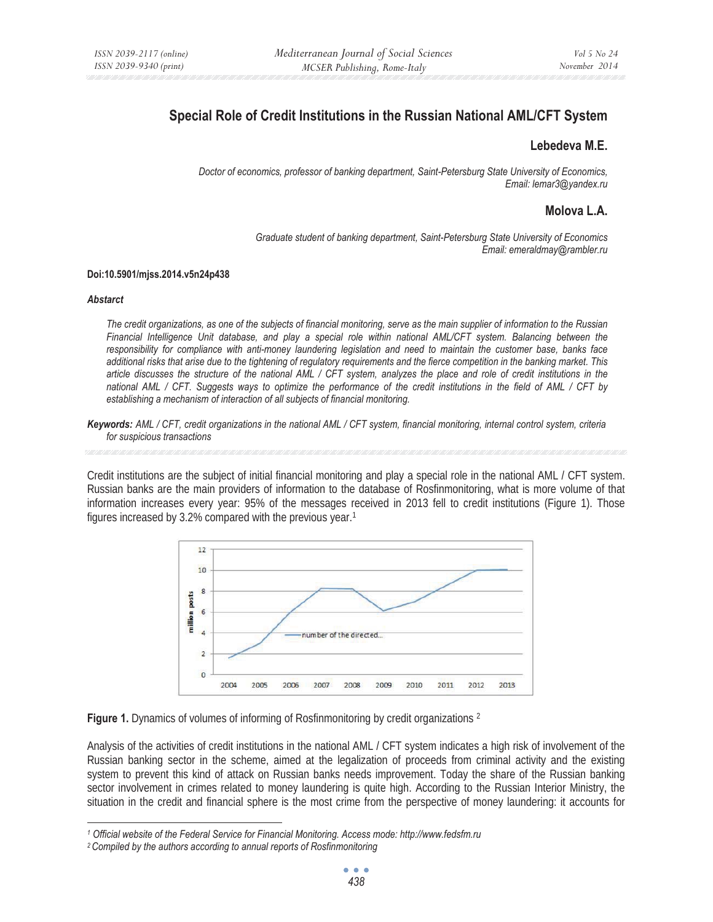# **Special Role of Credit Institutions in the Russian National AML/CFT System**

### **Lebedeva M.E.**

*Doctor of economics, professor of banking department, Saint-Petersburg State University of Economics, Email: lemar3@yandex.ru* 

## **Molova L.A.**

*Graduate student of banking department, Saint-Petersburg State University of Economics Email: emeraldmay@rambler.ru* 

### **Doi:10.5901/mjss.2014.v5n24p438**

#### *Abstarct*

*The credit organizations, as one of the subjects of financial monitoring, serve as the main supplier of information to the Russian Financial Intelligence Unit database, and play a special role within national AML/CFT system. Balancing between the responsibility for compliance with anti-money laundering legislation and need to maintain the customer base, banks face additional risks that arise due to the tightening of regulatory requirements and the fierce competition in the banking market. This article discusses the structure of the national AML / CFT system, analyzes the place and role of credit institutions in the national AML / CFT. Suggests ways to optimize the performance of the credit institutions in the field of AML / CFT by establishing a mechanism of interaction of all subjects of financial monitoring.* 

*Keywords: AML / CFT, credit organizations in the national AML / CFT system, financial monitoring, internal control system, criteria for suspicious transactions* 

Credit institutions are the subject of initial financial monitoring and play a special role in the national AML / CFT system. Russian banks are the main providers of information to the database of Rosfinmonitoring, what is more volume of that information increases every year: 95% of the messages received in 2013 fell to credit institutions (Figure 1). Those figures increased by 3.2% compared with the previous year.1



**Figure 1.** Dynamics of volumes of informing of Rosfinmonitoring by credit organizations <sup>2</sup>

Analysis of the activities of credit institutions in the national AML / CFT system indicates a high risk of involvement of the Russian banking sector in the scheme, aimed at the legalization of proceeds from criminal activity and the existing system to prevent this kind of attack on Russian banks needs improvement. Today the share of the Russian banking sector involvement in crimes related to money laundering is quite high. According to the Russian Interior Ministry, the situation in the credit and financial sphere is the most crime from the perspective of money laundering: it accounts for

*<sup>1</sup> Official website of the Federal Service for Financial Monitoring. Access mode: http://www.fedsfm.ru* 

*<sup>2</sup> Compiled by the authors according to annual reports of Rosfinmonitoring*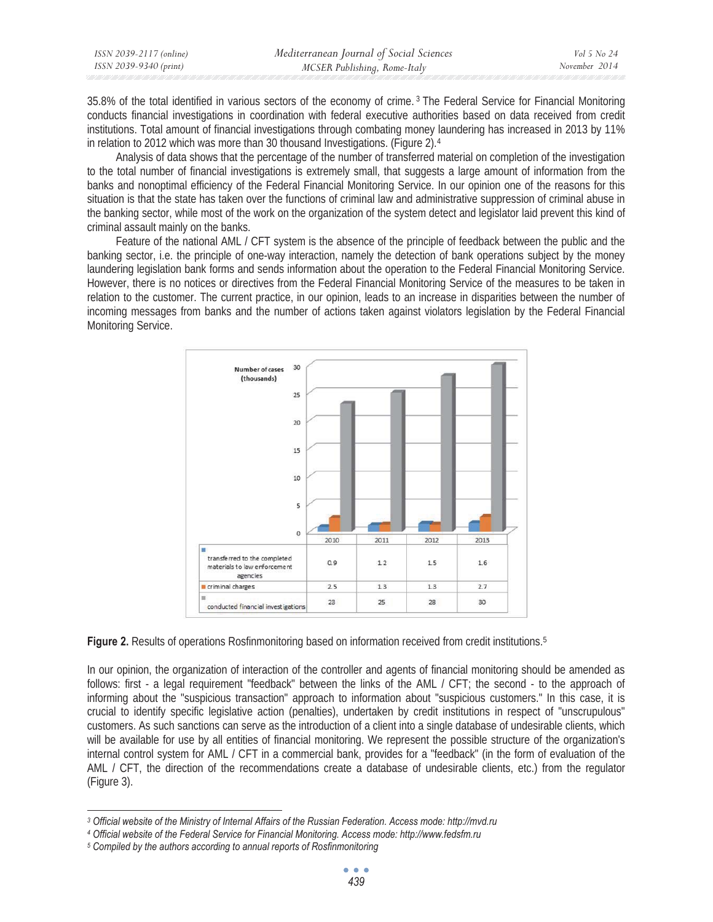| ISSN 2039-2117 (online) | Mediterranean Journal of Social Sciences | Vol 5 No 24   |
|-------------------------|------------------------------------------|---------------|
| ISSN 2039-9340 (print)  | MCSER Publishing, Rome-Italy             | November 2014 |

35.8% of the total identified in various sectors of the economy of crime. 3 The Federal Service for Financial Monitoring conducts financial investigations in coordination with federal executive authorities based on data received from credit institutions. Total amount of financial investigations through combating money laundering has increased in 2013 by 11% in relation to 2012 which was more than 30 thousand Investigations. (Figure 2).4

Analysis of data shows that the percentage of the number of transferred material on completion of the investigation to the total number of financial investigations is extremely small, that suggests a large amount of information from the banks and nonoptimal efficiency of the Federal Financial Monitoring Service. In our opinion one of the reasons for this situation is that the state has taken over the functions of criminal law and administrative suppression of criminal abuse in the banking sector, while most of the work on the organization of the system detect and legislator laid prevent this kind of criminal assault mainly on the banks.

Feature of the national AML / CFT system is the absence of the principle of feedback between the public and the banking sector, i.e. the principle of one-way interaction, namely the detection of bank operations subject by the money laundering legislation bank forms and sends information about the operation to the Federal Financial Monitoring Service. However, there is no notices or directives from the Federal Financial Monitoring Service of the measures to be taken in relation to the customer. The current practice, in our opinion, leads to an increase in disparities between the number of incoming messages from banks and the number of actions taken against violators legislation by the Federal Financial Monitoring Service.



**Figure 2.** Results of operations Rosfinmonitoring based on information received from credit institutions.<sup>5</sup>

In our opinion, the organization of interaction of the controller and agents of financial monitoring should be amended as follows: first - a legal requirement "feedback" between the links of the AML / CFT; the second - to the approach of informing about the "suspicious transaction" approach to information about "suspicious customers." In this case, it is crucial to identify specific legislative action (penalties), undertaken by credit institutions in respect of "unscrupulous" customers. As such sanctions can serve as the introduction of a client into a single database of undesirable clients, which will be available for use by all entities of financial monitoring. We represent the possible structure of the organization's internal control system for AML / CFT in a commercial bank, provides for a "feedback" (in the form of evaluation of the AML / CFT, the direction of the recommendations create a database of undesirable clients, etc.) from the regulator (Figure 3).

*<sup>3</sup> Official website of the Ministry of Internal Affairs of the Russian Federation. Access mode: http://mvd.ru 4 Official website of the Federal Service for Financial Monitoring. Access mode: http://www.fedsfm.ru* 

*<sup>5</sup> Compiled by the authors according to annual reports of Rosfinmonitoring*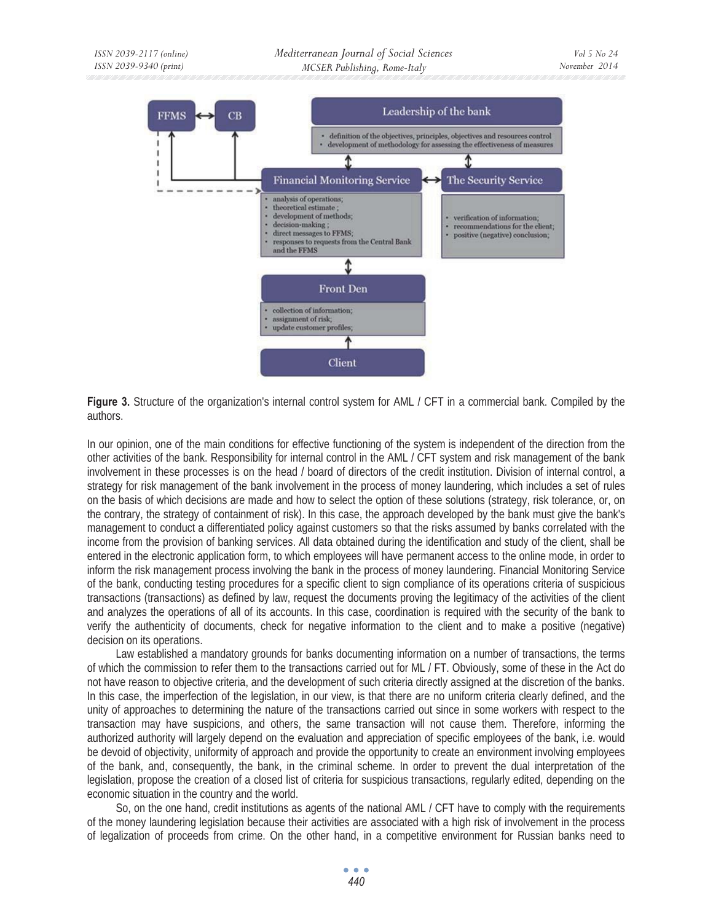

**Figure 3.** Structure of the organization's internal control system for AML / CFT in a commercial bank. Compiled by the authors.

In our opinion, one of the main conditions for effective functioning of the system is independent of the direction from the other activities of the bank. Responsibility for internal control in the AML / CFT system and risk management of the bank involvement in these processes is on the head / board of directors of the credit institution. Division of internal control, a strategy for risk management of the bank involvement in the process of money laundering, which includes a set of rules on the basis of which decisions are made and how to select the option of these solutions (strategy, risk tolerance, or, on the contrary, the strategy of containment of risk). In this case, the approach developed by the bank must give the bank's management to conduct a differentiated policy against customers so that the risks assumed by banks correlated with the income from the provision of banking services. All data obtained during the identification and study of the client, shall be entered in the electronic application form, to which employees will have permanent access to the online mode, in order to inform the risk management process involving the bank in the process of money laundering. Financial Monitoring Service of the bank, conducting testing procedures for a specific client to sign compliance of its operations criteria of suspicious transactions (transactions) as defined by law, request the documents proving the legitimacy of the activities of the client and analyzes the operations of all of its accounts. In this case, coordination is required with the security of the bank to verify the authenticity of documents, check for negative information to the client and to make a positive (negative) decision on its operations.

Law established a mandatory grounds for banks documenting information on a number of transactions, the terms of which the commission to refer them to the transactions carried out for ML / FT. Obviously, some of these in the Act do not have reason to objective criteria, and the development of such criteria directly assigned at the discretion of the banks. In this case, the imperfection of the legislation, in our view, is that there are no uniform criteria clearly defined, and the unity of approaches to determining the nature of the transactions carried out since in some workers with respect to the transaction may have suspicions, and others, the same transaction will not cause them. Therefore, informing the authorized authority will largely depend on the evaluation and appreciation of specific employees of the bank, i.e. would be devoid of objectivity, uniformity of approach and provide the opportunity to create an environment involving employees of the bank, and, consequently, the bank, in the criminal scheme. In order to prevent the dual interpretation of the legislation, propose the creation of a closed list of criteria for suspicious transactions, regularly edited, depending on the economic situation in the country and the world.

So, on the one hand, credit institutions as agents of the national AML / CFT have to comply with the requirements of the money laundering legislation because their activities are associated with a high risk of involvement in the process of legalization of proceeds from crime. On the other hand, in a competitive environment for Russian banks need to